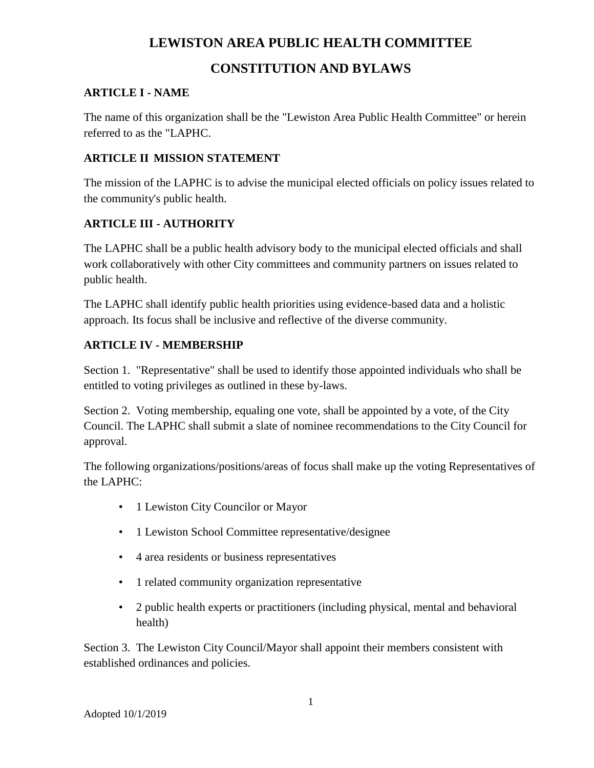## **LEWISTON AREA PUBLIC HEALTH COMMITTEE**

## **CONSTITUTION AND BYLAWS**

#### **ARTICLE I - NAME**

The name of this organization shall be the "Lewiston Area Public Health Committee" or herein referred to as the "LAPHC.

#### **ARTICLE II MISSION STATEMENT**

The mission of the LAPHC is to advise the municipal elected officials on policy issues related to the community's public health.

#### **ARTICLE III - AUTHORITY**

The LAPHC shall be a public health advisory body to the municipal elected officials and shall work collaboratively with other City committees and community partners on issues related to public health.

The LAPHC shall identify public health priorities using evidence-based data and a holistic approach. Its focus shall be inclusive and reflective of the diverse community.

### **ARTICLE IV - MEMBERSHIP**

Section 1. "Representative" shall be used to identify those appointed individuals who shall be entitled to voting privileges as outlined in these by-laws.

Section 2. Voting membership, equaling one vote, shall be appointed by a vote, of the City Council. The LAPHC shall submit a slate of nominee recommendations to the City Council for approval.

The following organizations/positions/areas of focus shall make up the voting Representatives of the LAPHC:

- 1 Lewiston City Councilor or Mayor
- 1 Lewiston School Committee representative/designee
- 4 area residents or business representatives
- 1 related community organization representative
- 2 public health experts or practitioners (including physical, mental and behavioral health)

Section 3. The Lewiston City Council/Mayor shall appoint their members consistent with established ordinances and policies.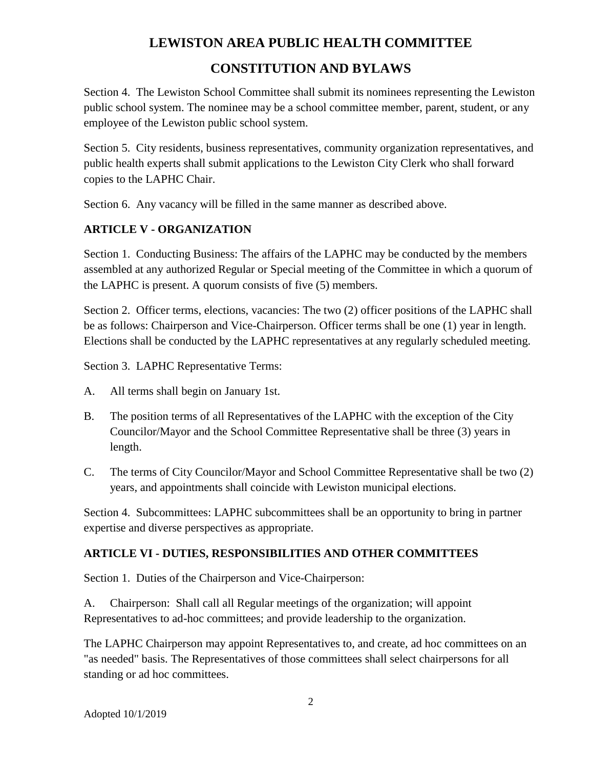## **LEWISTON AREA PUBLIC HEALTH COMMITTEE CONSTITUTION AND BYLAWS**

Section 4. The Lewiston School Committee shall submit its nominees representing the Lewiston public school system. The nominee may be a school committee member, parent, student, or any employee of the Lewiston public school system.

Section 5. City residents, business representatives, community organization representatives, and public health experts shall submit applications to the Lewiston City Clerk who shall forward copies to the LAPHC Chair.

Section 6. Any vacancy will be filled in the same manner as described above.

### **ARTICLE V - ORGANIZATION**

Section 1. Conducting Business: The affairs of the LAPHC may be conducted by the members assembled at any authorized Regular or Special meeting of the Committee in which a quorum of the LAPHC is present. A quorum consists of five (5) members.

Section 2. Officer terms, elections, vacancies: The two (2) officer positions of the LAPHC shall be as follows: Chairperson and Vice-Chairperson. Officer terms shall be one (1) year in length. Elections shall be conducted by the LAPHC representatives at any regularly scheduled meeting.

Section 3. LAPHC Representative Terms:

- A. All terms shall begin on January 1st.
- B. The position terms of all Representatives of the LAPHC with the exception of the City Councilor/Mayor and the School Committee Representative shall be three (3) years in length.
- C. The terms of City Councilor/Mayor and School Committee Representative shall be two (2) years, and appointments shall coincide with Lewiston municipal elections.

Section 4. Subcommittees: LAPHC subcommittees shall be an opportunity to bring in partner expertise and diverse perspectives as appropriate.

#### **ARTICLE VI - DUTIES, RESPONSIBILITIES AND OTHER COMMITTEES**

Section 1. Duties of the Chairperson and Vice-Chairperson:

A. Chairperson: Shall call all Regular meetings of the organization; will appoint Representatives to ad-hoc committees; and provide leadership to the organization.

The LAPHC Chairperson may appoint Representatives to, and create, ad hoc committees on an "as needed" basis. The Representatives of those committees shall select chairpersons for all standing or ad hoc committees.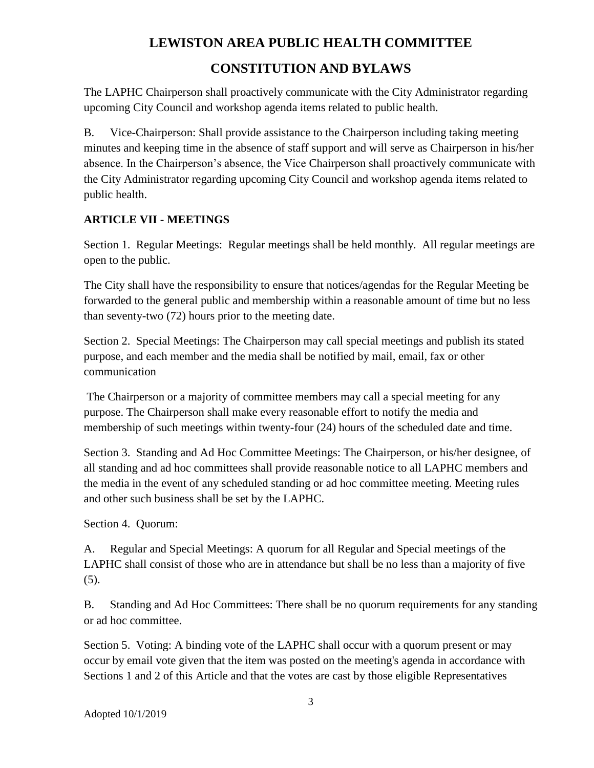# **LEWISTON AREA PUBLIC HEALTH COMMITTEE CONSTITUTION AND BYLAWS**

The LAPHC Chairperson shall proactively communicate with the City Administrator regarding upcoming City Council and workshop agenda items related to public health.

B. Vice-Chairperson: Shall provide assistance to the Chairperson including taking meeting minutes and keeping time in the absence of staff support and will serve as Chairperson in his/her absence. In the Chairperson's absence, the Vice Chairperson shall proactively communicate with the City Administrator regarding upcoming City Council and workshop agenda items related to public health.

#### **ARTICLE VII - MEETINGS**

Section 1. Regular Meetings: Regular meetings shall be held monthly. All regular meetings are open to the public.

The City shall have the responsibility to ensure that notices/agendas for the Regular Meeting be forwarded to the general public and membership within a reasonable amount of time but no less than seventy-two (72) hours prior to the meeting date.

Section 2. Special Meetings: The Chairperson may call special meetings and publish its stated purpose, and each member and the media shall be notified by mail, email, fax or other communication

The Chairperson or a majority of committee members may call a special meeting for any purpose. The Chairperson shall make every reasonable effort to notify the media and membership of such meetings within twenty-four (24) hours of the scheduled date and time.

Section 3. Standing and Ad Hoc Committee Meetings: The Chairperson, or his/her designee, of all standing and ad hoc committees shall provide reasonable notice to all LAPHC members and the media in the event of any scheduled standing or ad hoc committee meeting. Meeting rules and other such business shall be set by the LAPHC.

Section 4. Quorum:

A. Regular and Special Meetings: A quorum for all Regular and Special meetings of the LAPHC shall consist of those who are in attendance but shall be no less than a majority of five (5).

B. Standing and Ad Hoc Committees: There shall be no quorum requirements for any standing or ad hoc committee.

Section 5. Voting: A binding vote of the LAPHC shall occur with a quorum present or may occur by email vote given that the item was posted on the meeting's agenda in accordance with Sections 1 and 2 of this Article and that the votes are cast by those eligible Representatives